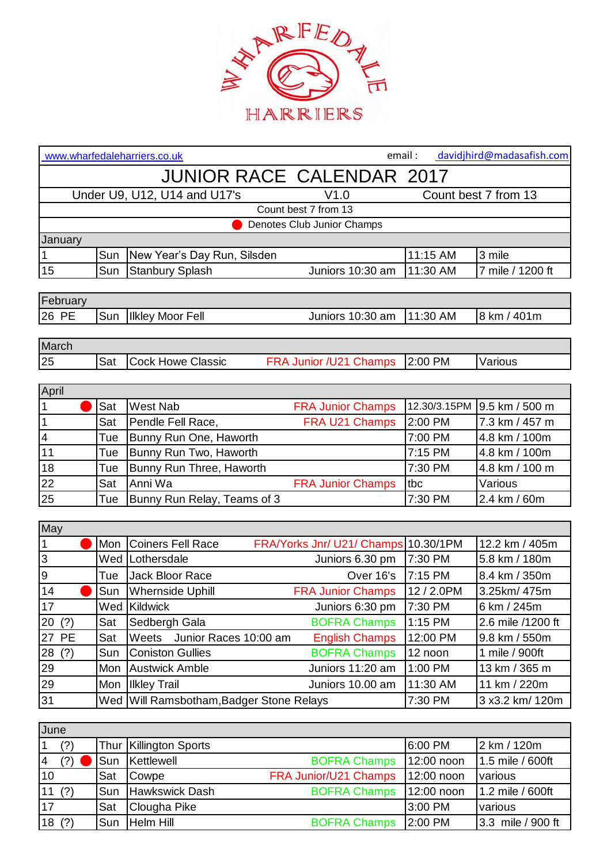

| davidjhird@madasafish.com<br>email:<br>www.wharfedaleharriers.co.uk |      |                                                                  |                |                      |  |  |  |
|---------------------------------------------------------------------|------|------------------------------------------------------------------|----------------|----------------------|--|--|--|
| <b>JUNIOR RACE CALENDAR 2017</b>                                    |      |                                                                  |                |                      |  |  |  |
| Under U9, U12, U14 and U17's<br>V1.0                                |      |                                                                  |                | Count best 7 from 13 |  |  |  |
|                                                                     |      | Count best 7 from 13                                             |                |                      |  |  |  |
| Denotes Club Junior Champs                                          |      |                                                                  |                |                      |  |  |  |
| January                                                             |      |                                                                  |                |                      |  |  |  |
| 1                                                                   | Sun  | New Year's Day Run, Silsden                                      | 11:15 AM       | 3 mile               |  |  |  |
| 15                                                                  | Sun  | Juniors 10:30 am<br><b>Stanbury Splash</b>                       | 11:30 AM       | 7 mile / 1200 ft     |  |  |  |
|                                                                     |      |                                                                  |                |                      |  |  |  |
| February                                                            |      |                                                                  |                |                      |  |  |  |
| 26 PE                                                               | Sun  | <b>Ilkley Moor Fell</b><br>Juniors 10:30 am                      | 11:30 AM       | 8 km / 401m          |  |  |  |
|                                                                     |      |                                                                  |                |                      |  |  |  |
| March                                                               |      |                                                                  |                |                      |  |  |  |
| 25                                                                  | Sat  | <b>Cock Howe Classic</b><br>FRA Junior /U21 Champs               | 2:00 PM        | Various              |  |  |  |
|                                                                     |      |                                                                  |                |                      |  |  |  |
| April                                                               |      |                                                                  |                |                      |  |  |  |
| $\vert$ 1                                                           | Sat  | <b>West Nab</b><br><b>FRA Junior Champs</b>                      | 12.30/3.15PM   | 9.5 km / 500 m       |  |  |  |
| $\overline{1}$                                                      | Sat  | Pendle Fell Race,<br><b>FRA U21 Champs</b>                       | 2:00 PM        | 7.3 km / 457 m       |  |  |  |
| $\overline{\mathbf{4}}$                                             | Tue  | Bunny Run One, Haworth                                           | 7:00 PM        | 4.8 km / 100m        |  |  |  |
| 11                                                                  | Tue  | Bunny Run Two, Haworth                                           | 7:15 PM        | 4.8 km / 100m        |  |  |  |
| 18                                                                  | Tue  | Bunny Run Three, Haworth<br>Anni Wa                              | 7:30 PM        | 4.8 km / 100 m       |  |  |  |
| 22                                                                  | Sat  | <b>FRA Junior Champs</b>                                         | tbc<br>7:30 PM | Various              |  |  |  |
| 25                                                                  | Tue  | Bunny Run Relay, Teams of 3                                      |                | 2.4 km / 60m         |  |  |  |
| May                                                                 |      |                                                                  |                |                      |  |  |  |
| $\mathbf{1}$                                                        | Mon  | <b>Coiners Fell Race</b><br>FRA/Yorks Jnr/ U21/ Champs 10.30/1PM |                | 12.2 km / 405m       |  |  |  |
| $\overline{3}$                                                      | Wed  | Lothersdale<br>Juniors 6.30 pm                                   | 7:30 PM        | 5.8 km / 180m        |  |  |  |
| $\overline{9}$                                                      | Tue  | Over 16's<br>Jack Bloor Race                                     | 7:15 PM        | 8.4 km / 350m        |  |  |  |
| 14                                                                  | Sun  | <b>Whernside Uphill</b><br><b>FRA Junior Champs</b>              | 12 / 2.0PM     | 3.25km/475m          |  |  |  |
| 17                                                                  |      | Wed Kildwick<br>Juniors 6:30 pm                                  | 7:30 PM        | 6 km / 245m          |  |  |  |
| 20(?)                                                               | Sat  | <b>BOFRA Champs</b><br>Sedbergh Gala                             | 1:15 PM        | 2.6 mile /1200 ft    |  |  |  |
| 27 PE                                                               | Sat  | Weets<br>Junior Races 10:00 am<br><b>English Champs</b>          | 12:00 PM       | 9.8 km / 550m        |  |  |  |
| 28<br>(?)                                                           | Sun  | <b>BOFRA Champs</b><br><b>Coniston Gullies</b>                   | 12 noon        | 1 mile / 900ft       |  |  |  |
| 29                                                                  | Mon  | <b>Austwick Amble</b><br>Juniors 11:20 am                        | 1:00 PM        | 13 km / 365 m        |  |  |  |
| 29                                                                  | Mon  | <b>Ilkley Trail</b><br>Juniors 10.00 am                          | 11:30 AM       | 11 km / 220m         |  |  |  |
| 31                                                                  | Wed  | Will Ramsbotham, Badger Stone Relays                             | 7:30 PM        | 3 x3.2 km/ 120m      |  |  |  |
|                                                                     |      |                                                                  |                |                      |  |  |  |
| June                                                                |      |                                                                  |                |                      |  |  |  |
| $\mathbf 1$<br>(?)                                                  | Thur | <b>Killington Sports</b>                                         | 6:00 PM        | 2 km / 120m          |  |  |  |
| (?)<br>4                                                            | Sun  | Kettlewell<br><b>BOFRA Champs</b>                                | 12:00 noon     | 1.5 mile / 600ft     |  |  |  |
| 10                                                                  | Sat  | FRA Junior/U21 Champs<br>Cowpe                                   | 12:00 noon     | various              |  |  |  |
| 11<br>(?)                                                           | Sun  | Hawkswick Dash<br><b>BOFRA Champs</b>                            | 12:00 noon     | 1.2 mile / 600ft     |  |  |  |
| 17                                                                  | Sat  | Clougha Pike                                                     | 3:00 PM        | various              |  |  |  |

Sat Clougha Pike 3:00 PM various<br>
17 Sun Helm Hill BOFRA Champs 2:00 PM 3.3 mile 18 (?) Sun Helm Hill **BOFRA Champs 2:00 PM** 3.3 mile / 900 ft